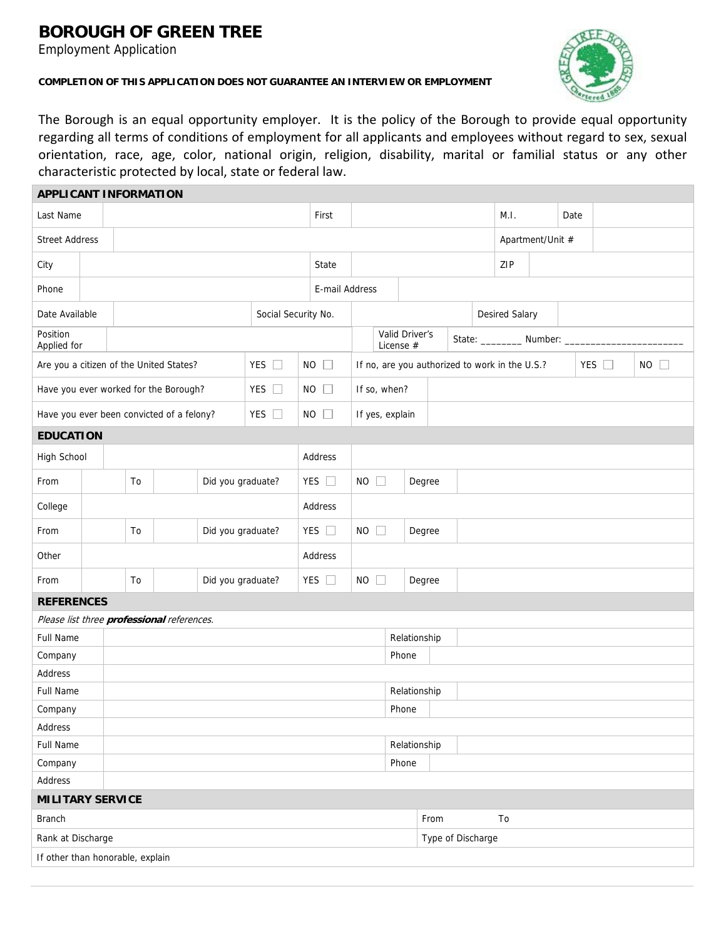## **BOROUGH OF GREEN TREE**

Employment Application





The Borough is an equal opportunity employer. It is the policy of the Borough to provide equal opportunity regarding all terms of conditions of employment for all applicants and employees without regard to sex, sexual orientation, race, age, color, national origin, religion, disability, marital or familial status or any other characteristic protected by local, state or federal law.

| <b>APPLICANT INFORMATION</b>                             |  |                                           |                     |           |                   |                             |                                                                              |                 |                       |        |              |                               |                  |      |  |  |  |  |
|----------------------------------------------------------|--|-------------------------------------------|---------------------|-----------|-------------------|-----------------------------|------------------------------------------------------------------------------|-----------------|-----------------------|--------|--------------|-------------------------------|------------------|------|--|--|--|--|
| Last Name                                                |  |                                           |                     |           | First             |                             |                                                                              |                 |                       |        |              | M.I.                          |                  | Date |  |  |  |  |
| <b>Street Address</b>                                    |  |                                           |                     |           |                   |                             |                                                                              |                 |                       |        |              |                               | Apartment/Unit # |      |  |  |  |  |
| City                                                     |  |                                           |                     |           |                   |                             | State                                                                        |                 |                       |        |              | ZIP                           |                  |      |  |  |  |  |
| Phone                                                    |  |                                           |                     |           |                   |                             | E-mail Address                                                               |                 |                       |        |              |                               |                  |      |  |  |  |  |
| Date Available                                           |  |                                           | Social Security No. |           |                   |                             |                                                                              |                 | <b>Desired Salary</b> |        |              |                               |                  |      |  |  |  |  |
| Position<br>Applied for                                  |  |                                           |                     |           |                   | Valid Driver's<br>License # |                                                                              |                 |                       |        |              | State: __________ Number: ___ |                  |      |  |  |  |  |
| YES $\square$<br>Are you a citizen of the United States? |  |                                           |                     | <b>NO</b> | $\Box$            |                             | YES $\square$<br><b>NO</b><br>If no, are you authorized to work in the U.S.? |                 |                       |        |              |                               |                  |      |  |  |  |  |
| YES $\square$<br>Have you ever worked for the Borough?   |  |                                           |                     |           |                   | $NO$ $\Box$                 |                                                                              | If so, when?    |                       |        |              |                               |                  |      |  |  |  |  |
|                                                          |  | Have you ever been convicted of a felony? |                     |           | YES $\Box$        |                             | $NO$ $\Box$                                                                  | If yes, explain |                       |        |              |                               |                  |      |  |  |  |  |
| <b>EDUCATION</b>                                         |  |                                           |                     |           |                   |                             |                                                                              |                 |                       |        |              |                               |                  |      |  |  |  |  |
| High School                                              |  |                                           |                     |           |                   |                             | Address                                                                      |                 |                       |        |              |                               |                  |      |  |  |  |  |
| From                                                     |  | Did you graduate?<br>To                   |                     |           |                   | YES $\square$               | $NO$ $\Box$                                                                  |                 |                       | Degree |              |                               |                  |      |  |  |  |  |
| College                                                  |  |                                           |                     |           |                   | Address                     |                                                                              |                 |                       |        |              |                               |                  |      |  |  |  |  |
| From                                                     |  | To                                        |                     |           | Did you graduate? |                             | YES $\square$                                                                | $NO$ $\Box$     |                       |        | Degree       |                               |                  |      |  |  |  |  |
| Other                                                    |  |                                           |                     |           |                   | Address                     |                                                                              |                 |                       |        |              |                               |                  |      |  |  |  |  |
| From                                                     |  | Did you graduate?<br>To                   |                     |           |                   |                             | YES $\square$<br>$NO$ $\Box$                                                 |                 |                       |        | Degree       |                               |                  |      |  |  |  |  |
| <b>REFERENCES</b>                                        |  |                                           |                     |           |                   |                             |                                                                              |                 |                       |        |              |                               |                  |      |  |  |  |  |
| Please list three professional references.               |  |                                           |                     |           |                   |                             |                                                                              |                 |                       |        |              |                               |                  |      |  |  |  |  |
| <b>Full Name</b>                                         |  |                                           |                     |           |                   |                             | Relationship                                                                 |                 |                       |        |              |                               |                  |      |  |  |  |  |
| Company                                                  |  | Phone                                     |                     |           |                   |                             |                                                                              |                 |                       |        |              |                               |                  |      |  |  |  |  |
| Address                                                  |  |                                           |                     |           |                   |                             |                                                                              |                 |                       |        |              |                               |                  |      |  |  |  |  |
| <b>Full Name</b>                                         |  |                                           |                     |           |                   |                             |                                                                              |                 |                       |        | Relationship |                               |                  |      |  |  |  |  |
| Company                                                  |  | Phone                                     |                     |           |                   |                             |                                                                              |                 |                       |        |              |                               |                  |      |  |  |  |  |
| Address                                                  |  |                                           |                     |           |                   |                             |                                                                              |                 |                       |        |              |                               |                  |      |  |  |  |  |
| Full Name                                                |  |                                           |                     |           |                   |                             | Relationship                                                                 |                 |                       |        |              |                               |                  |      |  |  |  |  |
| Company                                                  |  |                                           |                     |           |                   |                             | Phone                                                                        |                 |                       |        |              |                               |                  |      |  |  |  |  |
| Address                                                  |  |                                           |                     |           |                   |                             |                                                                              |                 |                       |        |              |                               |                  |      |  |  |  |  |
| <b>MILITARY SERVICE</b>                                  |  |                                           |                     |           |                   |                             |                                                                              |                 |                       |        |              |                               |                  |      |  |  |  |  |
| From<br>To<br><b>Branch</b>                              |  |                                           |                     |           |                   |                             |                                                                              |                 |                       |        |              |                               |                  |      |  |  |  |  |
| Rank at Discharge                                        |  |                                           |                     |           |                   |                             |                                                                              |                 | Type of Discharge     |        |              |                               |                  |      |  |  |  |  |
| If other than honorable, explain                         |  |                                           |                     |           |                   |                             |                                                                              |                 |                       |        |              |                               |                  |      |  |  |  |  |
|                                                          |  |                                           |                     |           |                   |                             |                                                                              |                 |                       |        |              |                               |                  |      |  |  |  |  |